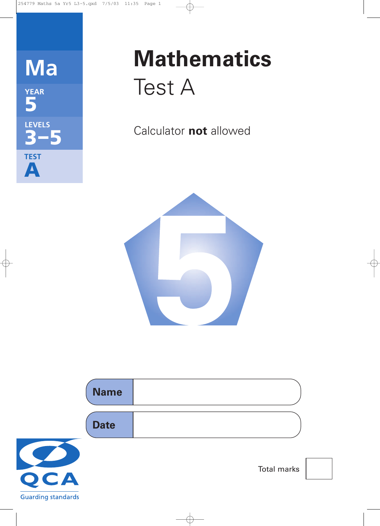

# **Mathematics** Test A

Calculator **not** allowed



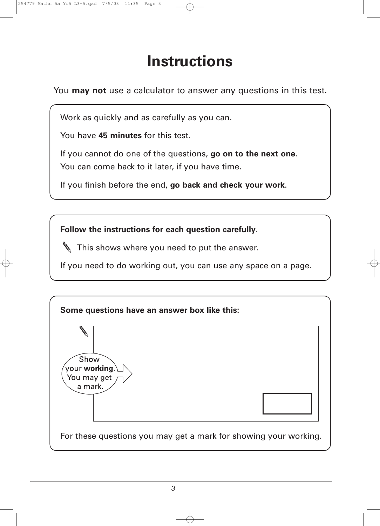## **Instructions**

You **may not** use a calculator to answer any questions in this test.

Work as quickly and as carefully as you can.

You have **45 minutes** for this test.

If you cannot do one of the questions, **go on to the next one**. You can come back to it later, if you have time.

If you finish before the end, **go back and check your work**.

**Follow the instructions for each question carefully**.

This shows where you need to put the answer.

If you need to do working out, you can use any space on a page.

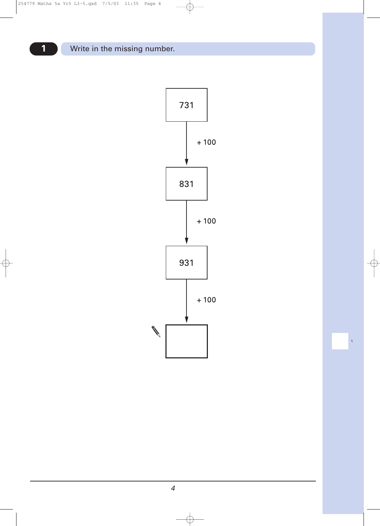

 $\mathbf{1}$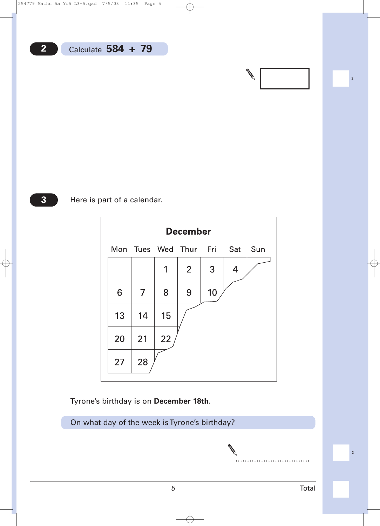

#### Here is part of a calendar.

|    |                |    | <b>December</b>               |    |   |  |
|----|----------------|----|-------------------------------|----|---|--|
|    |                |    | Mon Tues Wed Thur Fri Sat Sun |    |   |  |
|    |                | 1  | 2 <sup>1</sup>                | 3  | 4 |  |
| 6  | $\overline{7}$ | 8  | 9                             | 10 |   |  |
| 13 | 14             | 15 |                               |    |   |  |
| 20 | 21             | 22 |                               |    |   |  |
| 27 | 28             |    |                               |    |   |  |

Tyrone's birthday is on **December 18th**.

On what day of the week is Tyrone's birthday?

|<br>|<br>|<br>|<br>|<br>|

|<br>|-<br>|<br>|<br>|<br>|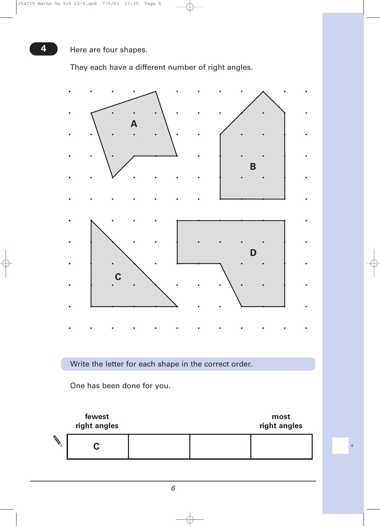**4** Here are four shapes.

They each have a different number of right angles.

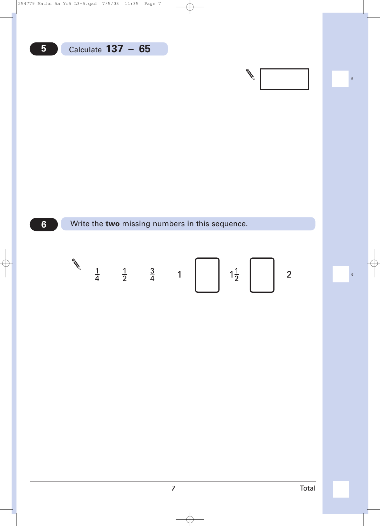$5\overline{)}$ 

 $6<sup>1</sup>$ 

Write the two missing numbers in this sequence.



 $\overline{5}$ 

 $6\overline{6}$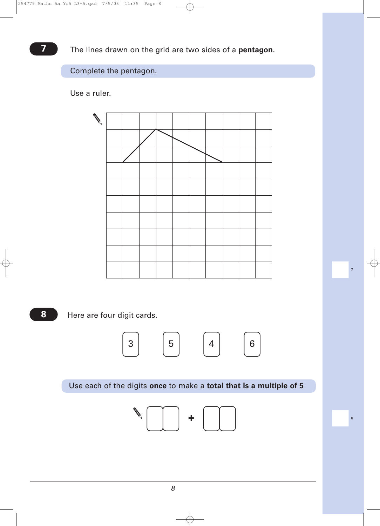#### Complete the pentagon.

Use a ruler.



**8**

Here are four digit cards.



|<br>|-<br>| 7

|<br>|<br>|<br>|<br>|

Use each of the digits **once** to make a **total that is a multiple of 5**

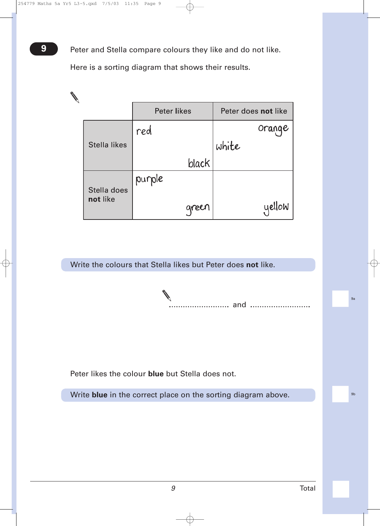**9** Peter and Stella compare colours they like and do not like.

Here is a sorting diagram that shows their results.

|                         | <b>Peter likes</b> | Peter does not like |
|-------------------------|--------------------|---------------------|
|                         | red                | Orange              |
| <b>Stella likes</b>     |                    | white               |
|                         | black              |                     |
| Stella does<br>not like | purple<br>green    | yellow              |

Write the colours that Stella likes but Peter does **not** like.

and

Peter likes the colour **blue** but Stella does not.

Write **blue** in the correct place on the sorting diagram above.

!9b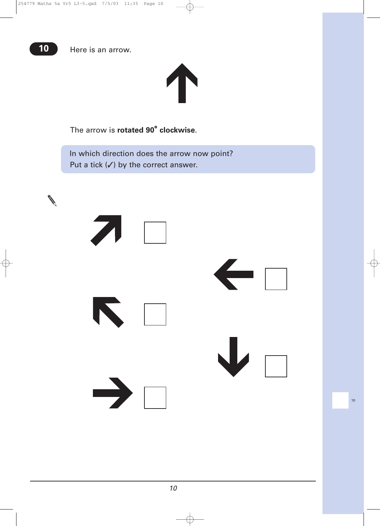

The arrow is **rotated 90° clockwise**.

In which direction does the arrow now point? Put a tick  $(V)$  by the correct answer.



|<br>|<br>|<br>|<br>|<br>|<br>|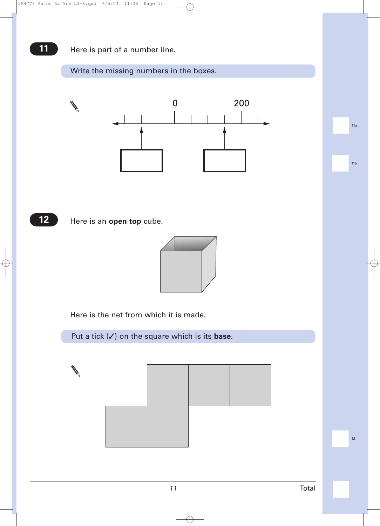#### **11** Here is part of a number line.

#### Write the missing numbers in the boxes.



**12**

Here is an **open top** cube.



Here is the net from which it is made.

Put a tick (✓) on the square which is its **base**.

|<br>|<br>|<br>|<br>|<br>|<br>|

|<br>|<br>|<br>|<br>|<br>|<br>|

|<br>|<br>|<br>|<br>|<br>|<br>|

*11* Total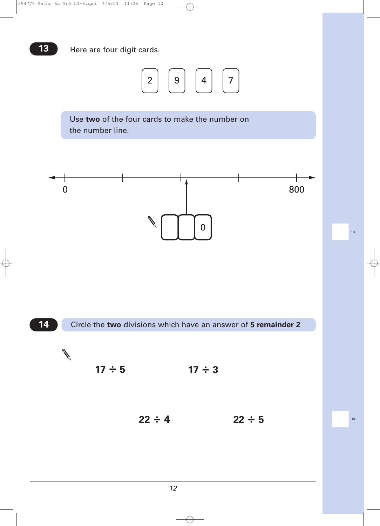

Use **two** of the four cards to make the number on the number line.



|<br>|<br>|<br>|<br>|<br>|<br>|

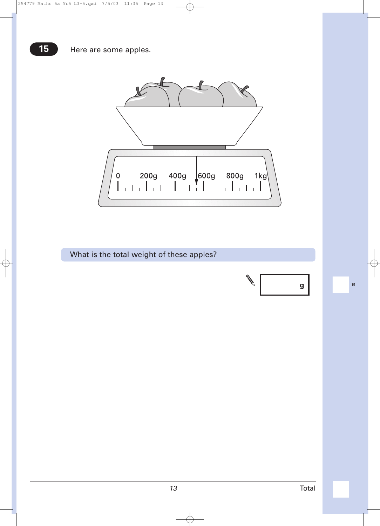

What is the total weight of these apples?

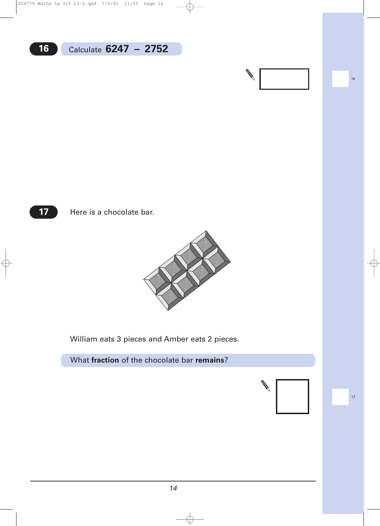**17**

Here is a chocolate bar.



William eats 3 pieces and Amber eats 2 pieces.

What **fraction** of the chocolate bar **remains**?

|<br>|<br>|<br>|<br>|<br>|<br>|

**Cardinal Cardinal Cardinal**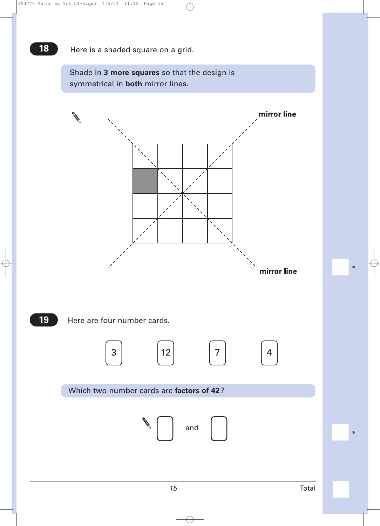Shade in **3 more squares** so that the design is symmetrical in **both** mirror lines.



|<br>|<br>|<br>|<br>|<br>|<br>|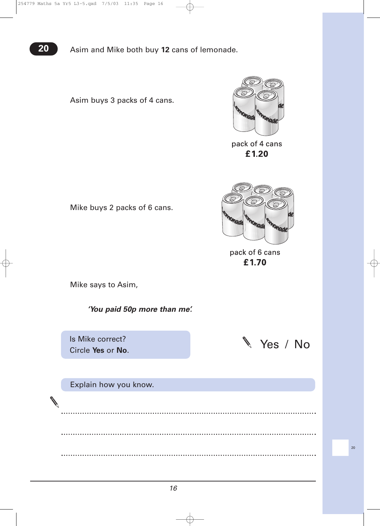**20** Asim and Mike both buy **12** cans of lemonade.

Asim buys 3 packs of 4 cans.



pack of 4 cans £1.20



pack of 6 cans £1.70

Mike buys 2 packs of 6 cans.

Mike says to Asim,

*'You paid 50p more than me'.*

Is Mike correct?

Explain how you know.



|<br>|<br>|<br>|<br>|<br>|<br>|<br>|<br>|

 $\cdots$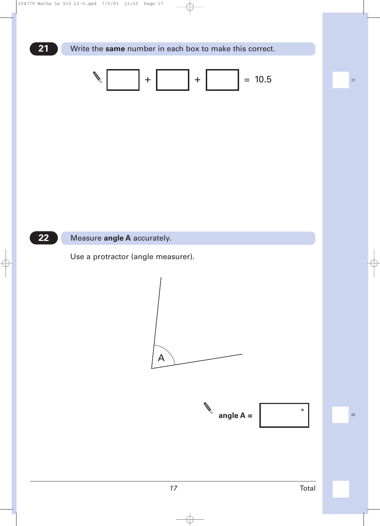

#### $22$ Measure angle A accurately.

Use a protractor (angle measurer).



 $22$ 

 $21$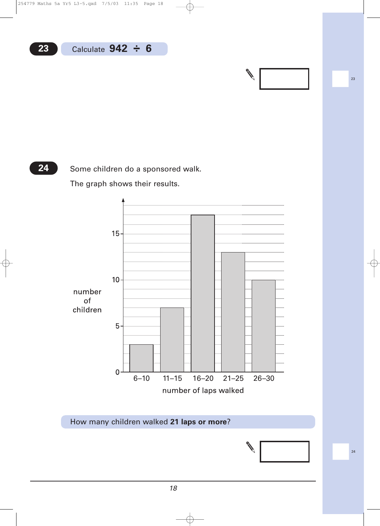**24**

Some children do a sponsored walk.

The graph shows their results.



How many children walked **21 laps or more**?



|<br>|<br>|<br>|<br>|<br>|<br>|<br>|<br>|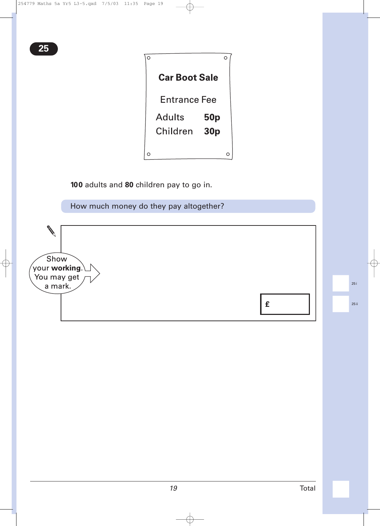| <b>Car Boot Sale</b> |                 |  |
|----------------------|-----------------|--|
| Entrance Fee         |                 |  |
| Adults               | <b>50p</b>      |  |
| Children             | 30 <sub>p</sub> |  |
|                      |                 |  |
|                      |                 |  |

**100** adults and **80** children pay to go in.

How much money do they pay altogether?



|<br>|<br>|<br>|<br>|<br>|<br>|<br>|<br>|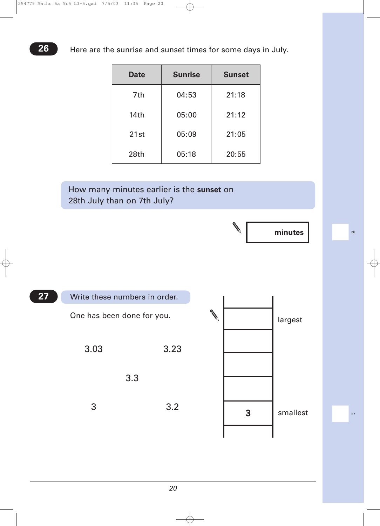| <b>Date</b>      | <b>Sunrise</b> | <b>Sunset</b> |
|------------------|----------------|---------------|
| 7th              | 04:53          | 21:18         |
| 14 <sub>th</sub> | 05:00          | 21:12         |
| 21st             | 05:09          | 21:05         |
| 28th             | 05:18          | 20:55         |

### How many minutes earlier is the **sunset** on 28th July than on 7th July?



|<br>|<br>|<br>|<br>|<br>|<br>|<br>|<br>|

| 27 | Write these numbers in order. |      |   |          |
|----|-------------------------------|------|---|----------|
|    | One has been done for you.    |      |   | largest  |
|    | 3.03                          | 3.23 |   |          |
|    |                               | 3.3  |   |          |
|    | 3                             | 3.2  | 3 | smallest |
|    |                               |      |   |          |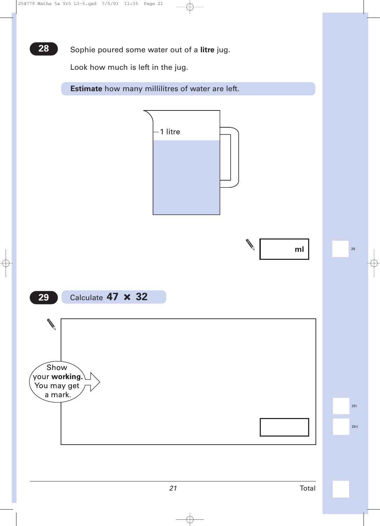**28** Sophie poured some water out of a litre jug.

Look how much is left in the jug.

**Estimate** how many millilitres of water are left.

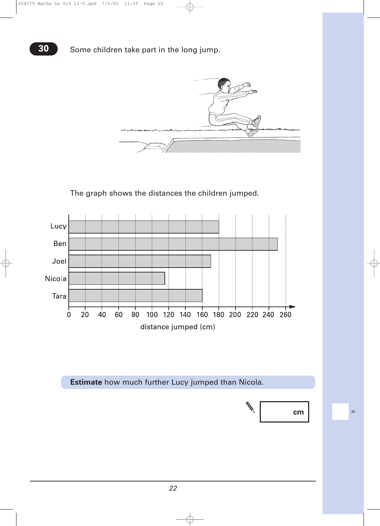

The graph shows the distances the children jumped.



**Estimate** how much further Lucy jumped than Nicola.